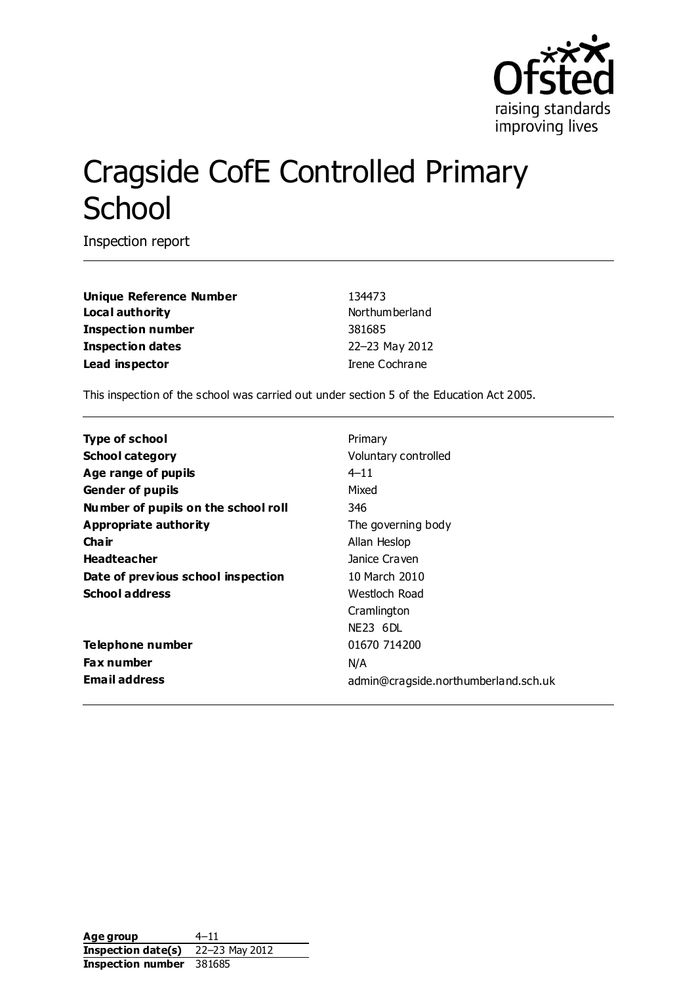

# Cragside CofE Controlled Primary **School**

Inspection report

**Unique Reference Number** 134473 Local authority **Notified Authority** Northumberland **Inspection number** 381685 **Inspection dates** 22–23 May 2012 **Lead inspector Irene Cochrane** 

This inspection of the school was carried out under section 5 of the Education Act 2005.

| Type of school                      | Primary                              |
|-------------------------------------|--------------------------------------|
| <b>School category</b>              | Voluntary controlled                 |
| Age range of pupils                 | $4 - 11$                             |
| <b>Gender of pupils</b>             | Mixed                                |
| Number of pupils on the school roll | 346                                  |
| Appropriate authority               | The governing body                   |
| Cha ir                              | Allan Heslop                         |
| <b>Headteacher</b>                  | Janice Craven                        |
| Date of previous school inspection  | 10 March 2010                        |
| <b>School address</b>               | Westloch Road                        |
|                                     | Cramlington                          |
|                                     | NE23 6DL                             |
| Telephone number                    | 01670 714200                         |
| <b>Fax number</b>                   | N/A                                  |
| <b>Email address</b>                | admin@cragside.northumberland.sch.uk |

Age group 4–11 **Inspection date(s)** 22–23 May 2012 **Inspection number** 381685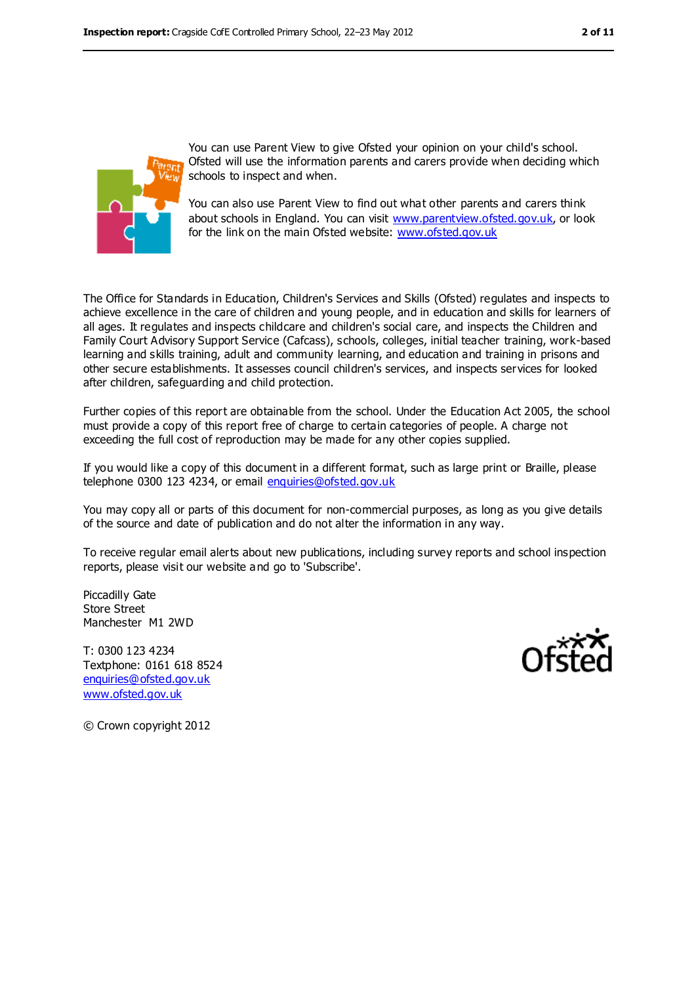

You can use Parent View to give Ofsted your opinion on your child's school. Ofsted will use the information parents and carers provide when deciding which schools to inspect and when.

You can also use Parent View to find out what other parents and carers think about schools in England. You can visit [www.parentview.ofsted.gov.uk,](../../../Local%20Settings/Local%20Settings/Temporary%20Internet%20Files/Content.IE5/7QBXTPBF/www.parentview.ofsted.gov.uk) or look for the link on the main Ofsted website: [www.ofsted.gov.uk](../../../Local%20Settings/Local%20Settings/Temporary%20Internet%20Files/Content.IE5/7QBXTPBF/www.ofsted.gov.uk)

The Office for Standards in Education, Children's Services and Skills (Ofsted) regulates and inspects to achieve excellence in the care of children and young people, and in education and skills for learners of all ages. It regulates and inspects childcare and children's social care, and inspects the Children and Family Court Advisory Support Service (Cafcass), schools, colleges, initial teacher training, work-based learning and skills training, adult and community learning, and education and training in prisons and other secure establishments. It assesses council children's services, and inspects services for looked after children, safeguarding and child protection.

Further copies of this report are obtainable from the school. Under the Education Act 2005, the school must provide a copy of this report free of charge to certain categories of people. A charge not exceeding the full cost of reproduction may be made for any other copies supplied.

If you would like a copy of this document in a different format, such as large print or Braille, please telephone 0300 123 4234, or email [enquiries@ofsted.gov.uk](mailto:enquiries@ofsted.gov.uk)

You may copy all or parts of this document for non-commercial purposes, as long as you give details of the source and date of publication and do not alter the information in any way.

To receive regular email alerts about new publications, including survey reports and school inspection reports, please visit our website and go to 'Subscribe'.

Piccadilly Gate Store Street Manchester M1 2WD

T: 0300 123 4234 Textphone: 0161 618 8524 [enquiries@ofsted.gov.uk](mailto:enquiries@ofsted.gov.uk) [www.ofsted.gov.uk](http://www.ofsted.gov.uk/)



© Crown copyright 2012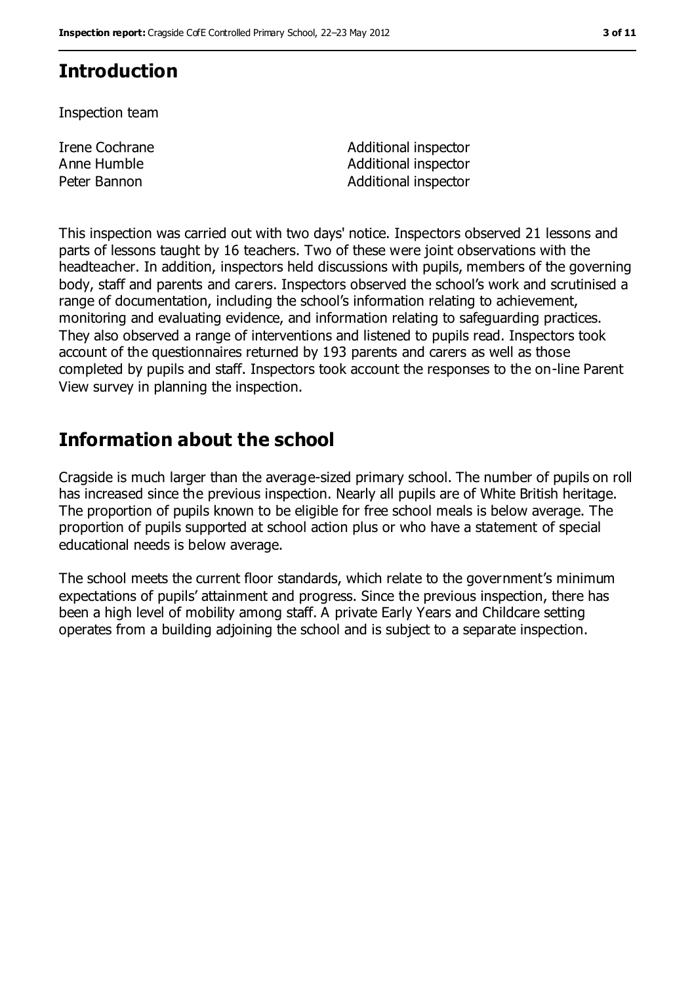# **Introduction**

Inspection team

Irene Cochrane Anne Humble

Additional inspector Additional inspector Peter Bannon **Additional inspector** 

This inspection was carried out with two days' notice. Inspectors observed 21 lessons and parts of lessons taught by 16 teachers. Two of these were joint observations with the headteacher. In addition, inspectors held discussions with pupils, members of the governing body, staff and parents and carers. Inspectors observed the school's work and scrutinised a range of documentation, including the school's information relating to achievement, monitoring and evaluating evidence, and information relating to safeguarding practices. They also observed a range of interventions and listened to pupils read. Inspectors took account of the questionnaires returned by 193 parents and carers as well as those completed by pupils and staff. Inspectors took account the responses to the on-line Parent View survey in planning the inspection.

## **Information about the school**

Cragside is much larger than the average-sized primary school. The number of pupils on roll has increased since the previous inspection. Nearly all pupils are of White British heritage. The proportion of pupils known to be eligible for free school meals is below average. The proportion of pupils supported at school action plus or who have a statement of special educational needs is below average.

The school meets the current floor standards, which relate to the government's minimum expectations of pupils' attainment and progress. Since the previous inspection, there has been a high level of mobility among staff. A private Early Years and Childcare setting operates from a building adjoining the school and is subject to a separate inspection.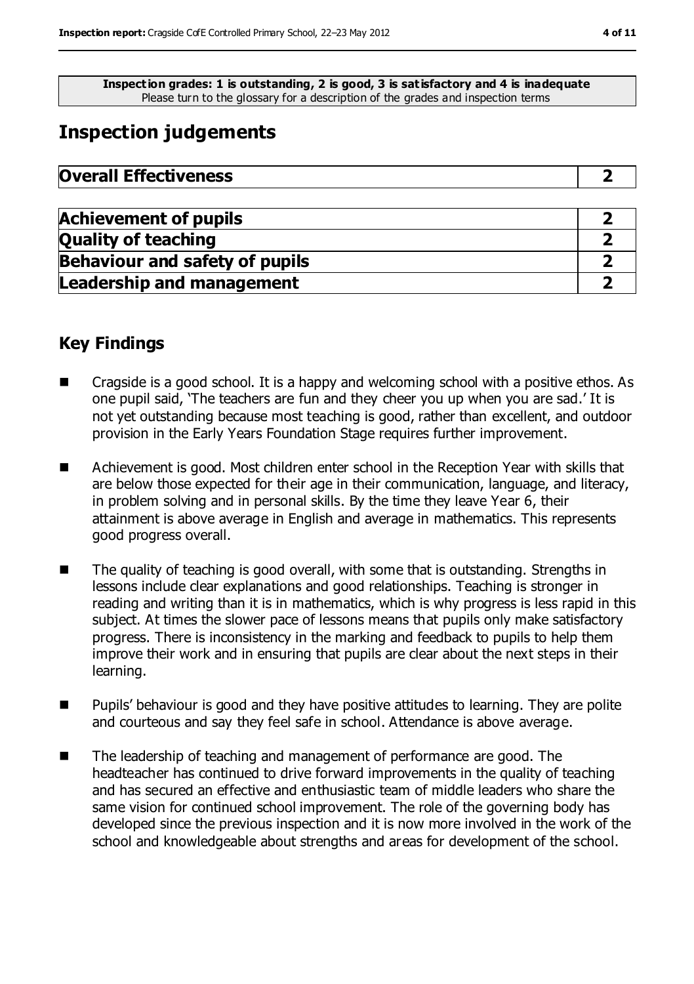**Inspection grades: 1 is outstanding, 2 is good, 3 is satisfactory and 4 is inadequate** Please turn to the glossary for a description of the grades and inspection terms

# **Inspection judgements**

| <b>Overall Effectiveness</b> |  |
|------------------------------|--|
|------------------------------|--|

| <b>Achievement of pupils</b>          |  |
|---------------------------------------|--|
| <b>Quality of teaching</b>            |  |
| <b>Behaviour and safety of pupils</b> |  |
| <b>Leadership and management</b>      |  |

## **Key Findings**

- Cragside is a good school. It is a happy and welcoming school with a positive ethos. As one pupil said, 'The teachers are fun and they cheer you up when you are sad.' It is not yet outstanding because most teaching is good, rather than excellent, and outdoor provision in the Early Years Foundation Stage requires further improvement.
- Achievement is good. Most children enter school in the Reception Year with skills that are below those expected for their age in their communication, language, and literacy, in problem solving and in personal skills. By the time they leave Year 6, their attainment is above average in English and average in mathematics. This represents good progress overall.
- The quality of teaching is good overall, with some that is outstanding. Strengths in lessons include clear explanations and good relationships. Teaching is stronger in reading and writing than it is in mathematics, which is why progress is less rapid in this subject. At times the slower pace of lessons means that pupils only make satisfactory progress. There is inconsistency in the marking and feedback to pupils to help them improve their work and in ensuring that pupils are clear about the next steps in their learning.
- Pupils' behaviour is good and they have positive attitudes to learning. They are polite and courteous and say they feel safe in school. Attendance is above average.
- The leadership of teaching and management of performance are good. The headteacher has continued to drive forward improvements in the quality of teaching and has secured an effective and enthusiastic team of middle leaders who share the same vision for continued school improvement. The role of the governing body has developed since the previous inspection and it is now more involved in the work of the school and knowledgeable about strengths and areas for development of the school.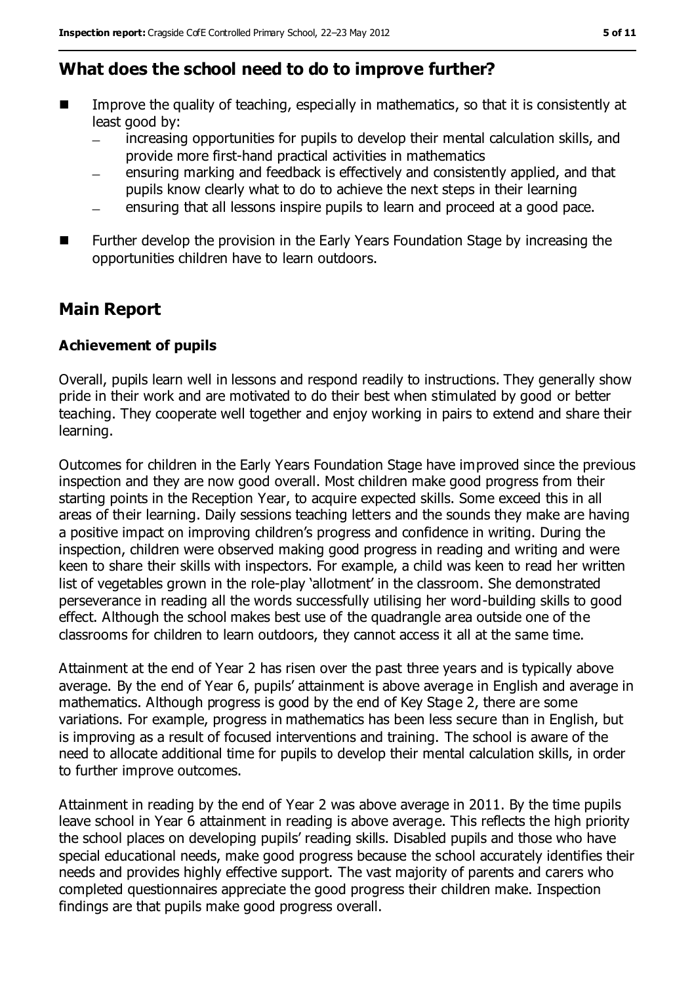## **What does the school need to do to improve further?**

- Improve the quality of teaching, especially in mathematics, so that it is consistently at least good by:
	- $\frac{1}{2}$ increasing opportunities for pupils to develop their mental calculation skills, and provide more first-hand practical activities in mathematics
	- ensuring marking and feedback is effectively and consistently applied, and that pupils know clearly what to do to achieve the next steps in their learning
	- ensuring that all lessons inspire pupils to learn and proceed at a good pace.
- **Further develop the provision in the Early Years Foundation Stage by increasing the** opportunities children have to learn outdoors.

## **Main Report**

#### **Achievement of pupils**

Overall, pupils learn well in lessons and respond readily to instructions. They generally show pride in their work and are motivated to do their best when stimulated by good or better teaching. They cooperate well together and enjoy working in pairs to extend and share their learning.

Outcomes for children in the Early Years Foundation Stage have improved since the previous inspection and they are now good overall. Most children make good progress from their starting points in the Reception Year, to acquire expected skills. Some exceed this in all areas of their learning. Daily sessions teaching letters and the sounds they make are having a positive impact on improving children's progress and confidence in writing. During the inspection, children were observed making good progress in reading and writing and were keen to share their skills with inspectors. For example, a child was keen to read her written list of vegetables grown in the role-play 'allotment' in the classroom. She demonstrated perseverance in reading all the words successfully utilising her word-building skills to good effect. Although the school makes best use of the quadrangle area outside one of the classrooms for children to learn outdoors, they cannot access it all at the same time.

Attainment at the end of Year 2 has risen over the past three years and is typically above average. By the end of Year 6, pupils' attainment is above average in English and average in mathematics. Although progress is good by the end of Key Stage 2, there are some variations. For example, progress in mathematics has been less secure than in English, but is improving as a result of focused interventions and training. The school is aware of the need to allocate additional time for pupils to develop their mental calculation skills, in order to further improve outcomes.

Attainment in reading by the end of Year 2 was above average in 2011. By the time pupils leave school in Year 6 attainment in reading is above average. This reflects the high priority the school places on developing pupils' reading skills. Disabled pupils and those who have special educational needs, make good progress because the school accurately identifies their needs and provides highly effective support. The vast majority of parents and carers who completed questionnaires appreciate the good progress their children make. Inspection findings are that pupils make good progress overall.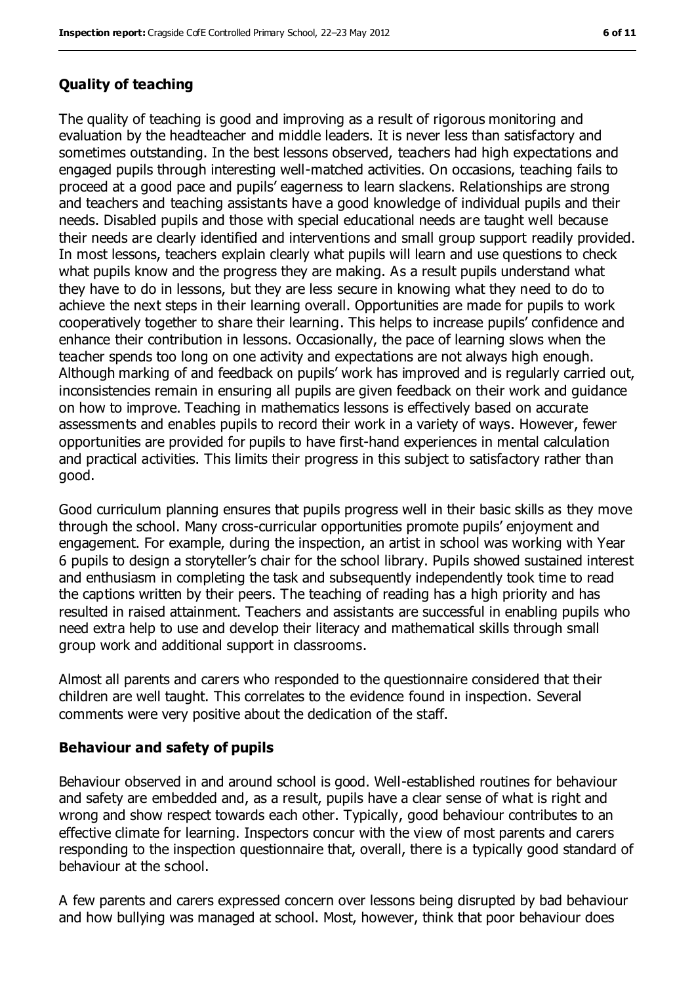#### **Quality of teaching**

The quality of teaching is good and improving as a result of rigorous monitoring and evaluation by the headteacher and middle leaders. It is never less than satisfactory and sometimes outstanding. In the best lessons observed, teachers had high expectations and engaged pupils through interesting well-matched activities. On occasions, teaching fails to proceed at a good pace and pupils' eagerness to learn slackens. Relationships are strong and teachers and teaching assistants have a good knowledge of individual pupils and their needs. Disabled pupils and those with special educational needs are taught well because their needs are clearly identified and interventions and small group support readily provided. In most lessons, teachers explain clearly what pupils will learn and use questions to check what pupils know and the progress they are making. As a result pupils understand what they have to do in lessons, but they are less secure in knowing what they need to do to achieve the next steps in their learning overall. Opportunities are made for pupils to work cooperatively together to share their learning. This helps to increase pupils' confidence and enhance their contribution in lessons. Occasionally, the pace of learning slows when the teacher spends too long on one activity and expectations are not always high enough. Although marking of and feedback on pupils' work has improved and is regularly carried out, inconsistencies remain in ensuring all pupils are given feedback on their work and guidance on how to improve. Teaching in mathematics lessons is effectively based on accurate assessments and enables pupils to record their work in a variety of ways. However, fewer opportunities are provided for pupils to have first-hand experiences in mental calculation and practical activities. This limits their progress in this subject to satisfactory rather than good.

Good curriculum planning ensures that pupils progress well in their basic skills as they move through the school. Many cross-curricular opportunities promote pupils' enjoyment and engagement. For example, during the inspection, an artist in school was working with Year 6 pupils to design a storyteller's chair for the school library. Pupils showed sustained interest and enthusiasm in completing the task and subsequently independently took time to read the captions written by their peers. The teaching of reading has a high priority and has resulted in raised attainment. Teachers and assistants are successful in enabling pupils who need extra help to use and develop their literacy and mathematical skills through small group work and additional support in classrooms.

Almost all parents and carers who responded to the questionnaire considered that their children are well taught. This correlates to the evidence found in inspection. Several comments were very positive about the dedication of the staff.

#### **Behaviour and safety of pupils**

Behaviour observed in and around school is good. Well-established routines for behaviour and safety are embedded and, as a result, pupils have a clear sense of what is right and wrong and show respect towards each other. Typically, good behaviour contributes to an effective climate for learning. Inspectors concur with the view of most parents and carers responding to the inspection questionnaire that, overall, there is a typically good standard of behaviour at the school.

A few parents and carers expressed concern over lessons being disrupted by bad behaviour and how bullying was managed at school. Most, however, think that poor behaviour does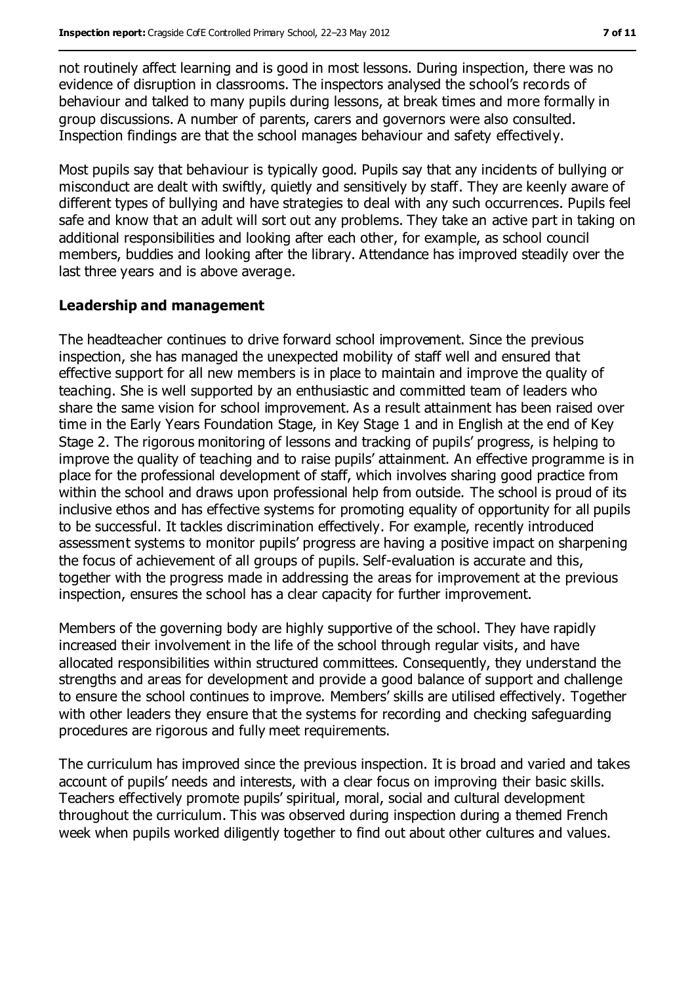not routinely affect learning and is good in most lessons. During inspection, there was no evidence of disruption in classrooms. The inspectors analysed the school's records of behaviour and talked to many pupils during lessons, at break times and more formally in group discussions. A number of parents, carers and governors were also consulted. Inspection findings are that the school manages behaviour and safety effectively.

Most pupils say that behaviour is typically good. Pupils say that any incidents of bullying or misconduct are dealt with swiftly, quietly and sensitively by staff. They are keenly aware of different types of bullying and have strategies to deal with any such occurrences. Pupils feel safe and know that an adult will sort out any problems. They take an active part in taking on additional responsibilities and looking after each other, for example, as school council members, buddies and looking after the library. Attendance has improved steadily over the last three years and is above average.

#### **Leadership and management**

The headteacher continues to drive forward school improvement. Since the previous inspection, she has managed the unexpected mobility of staff well and ensured that effective support for all new members is in place to maintain and improve the quality of teaching. She is well supported by an enthusiastic and committed team of leaders who share the same vision for school improvement. As a result attainment has been raised over time in the Early Years Foundation Stage, in Key Stage 1 and in English at the end of Key Stage 2. The rigorous monitoring of lessons and tracking of pupils' progress, is helping to improve the quality of teaching and to raise pupils' attainment. An effective programme is in place for the professional development of staff, which involves sharing good practice from within the school and draws upon professional help from outside. The school is proud of its inclusive ethos and has effective systems for promoting equality of opportunity for all pupils to be successful. It tackles discrimination effectively. For example, recently introduced assessment systems to monitor pupils' progress are having a positive impact on sharpening the focus of achievement of all groups of pupils. Self-evaluation is accurate and this, together with the progress made in addressing the areas for improvement at the previous inspection, ensures the school has a clear capacity for further improvement.

Members of the governing body are highly supportive of the school. They have rapidly increased their involvement in the life of the school through regular visits, and have allocated responsibilities within structured committees. Consequently, they understand the strengths and areas for development and provide a good balance of support and challenge to ensure the school continues to improve. Members' skills are utilised effectively. Together with other leaders they ensure that the systems for recording and checking safeguarding procedures are rigorous and fully meet requirements.

The curriculum has improved since the previous inspection. It is broad and varied and takes account of pupils' needs and interests, with a clear focus on improving their basic skills. Teachers effectively promote pupils' spiritual, moral, social and cultural development throughout the curriculum. This was observed during inspection during a themed French week when pupils worked diligently together to find out about other cultures and values.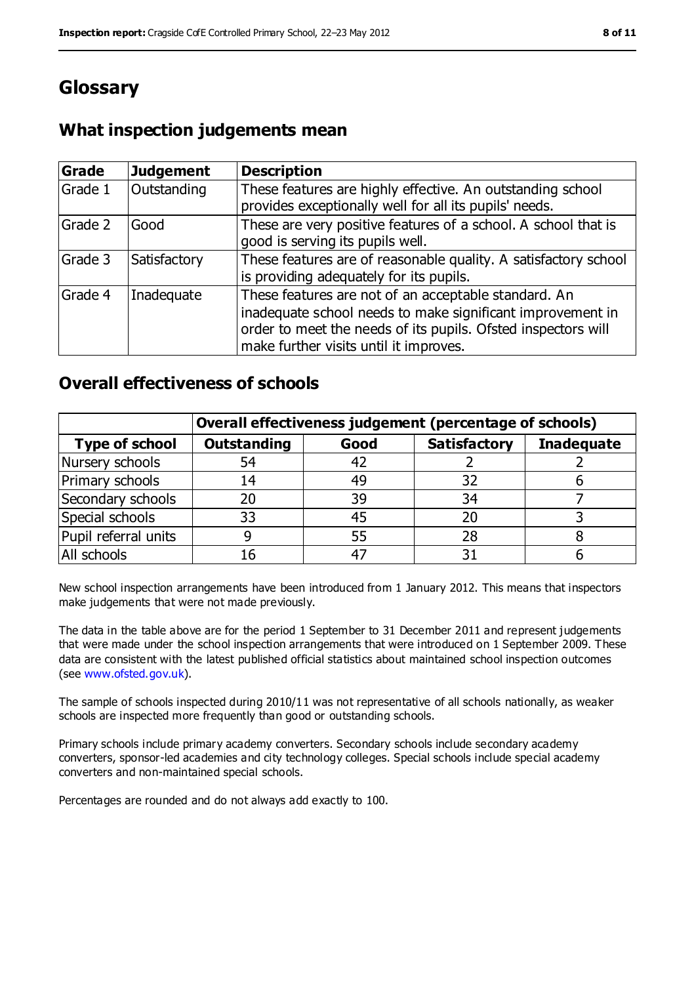# **Glossary**

## **What inspection judgements mean**

| <b>Grade</b> | <b>Judgement</b> | <b>Description</b>                                                                                                                                                                                                            |
|--------------|------------------|-------------------------------------------------------------------------------------------------------------------------------------------------------------------------------------------------------------------------------|
| Grade 1      | Outstanding      | These features are highly effective. An outstanding school<br>provides exceptionally well for all its pupils' needs.                                                                                                          |
| Grade 2      | Good             | These are very positive features of a school. A school that is<br>good is serving its pupils well.                                                                                                                            |
| Grade 3      | Satisfactory     | These features are of reasonable quality. A satisfactory school<br>is providing adequately for its pupils.                                                                                                                    |
| Grade 4      | Inadequate       | These features are not of an acceptable standard. An<br>inadequate school needs to make significant improvement in<br>order to meet the needs of its pupils. Ofsted inspectors will<br>make further visits until it improves. |

### **Overall effectiveness of schools**

|                       | Overall effectiveness judgement (percentage of schools) |      |                     |                   |
|-----------------------|---------------------------------------------------------|------|---------------------|-------------------|
| <b>Type of school</b> | <b>Outstanding</b>                                      | Good | <b>Satisfactory</b> | <b>Inadequate</b> |
| Nursery schools       | 54                                                      | 42   |                     |                   |
| Primary schools       | 14                                                      | 49   | 32                  |                   |
| Secondary schools     | 20                                                      | 39   | 34                  |                   |
| Special schools       | 33                                                      | 45   | 20                  |                   |
| Pupil referral units  |                                                         | 55   | 28                  |                   |
| All schools           | 16                                                      | $-4$ |                     |                   |

New school inspection arrangements have been introduced from 1 January 2012. This means that inspectors make judgements that were not made previously.

The data in the table above are for the period 1 September to 31 December 2011 and represent judgements that were made under the school inspection arrangements that were introduced on 1 September 2009. These data are consistent with the latest published official statistics about maintained school inspection outcomes (see [www.ofsted.gov.uk\)](../../../Local%20Settings/Local%20Settings/Temporary%20Internet%20Files/Content.IE5/7QBXTPBF/www.ofsted.gov.uk).

The sample of schools inspected during 2010/11 was not representative of all schools nationally, as weaker schools are inspected more frequently than good or outstanding schools.

Primary schools include primary academy converters. Secondary schools include secondary academy converters, sponsor-led academies and city technology colleges. Special schools include special academy converters and non-maintained special schools.

Percentages are rounded and do not always add exactly to 100.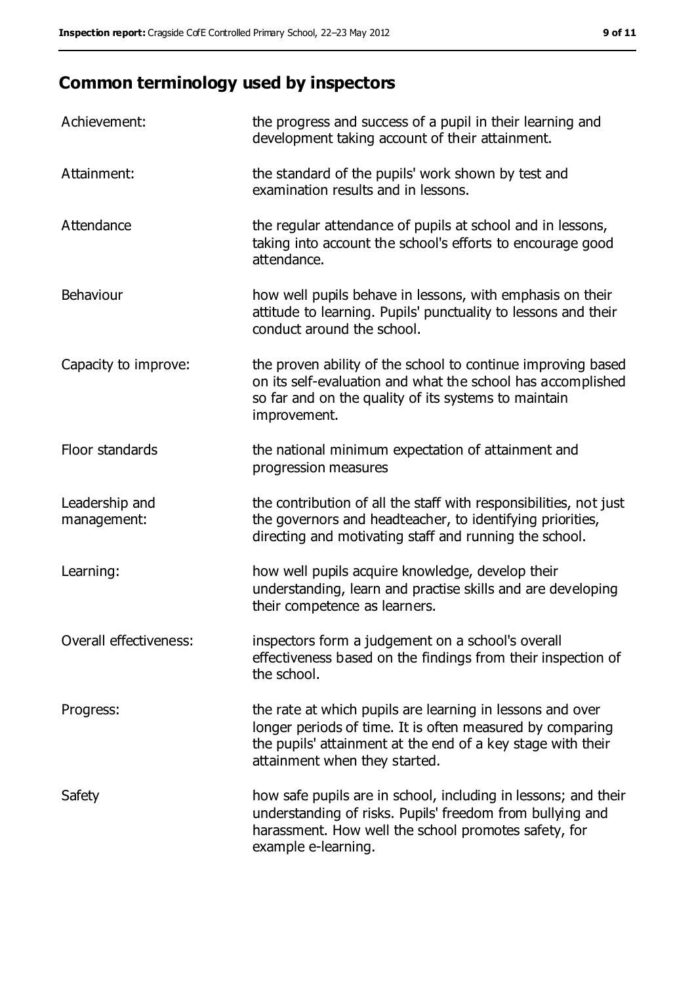# **Common terminology used by inspectors**

| Achievement:                  | the progress and success of a pupil in their learning and<br>development taking account of their attainment.                                                                                                           |
|-------------------------------|------------------------------------------------------------------------------------------------------------------------------------------------------------------------------------------------------------------------|
| Attainment:                   | the standard of the pupils' work shown by test and<br>examination results and in lessons.                                                                                                                              |
| Attendance                    | the regular attendance of pupils at school and in lessons,<br>taking into account the school's efforts to encourage good<br>attendance.                                                                                |
| Behaviour                     | how well pupils behave in lessons, with emphasis on their<br>attitude to learning. Pupils' punctuality to lessons and their<br>conduct around the school.                                                              |
| Capacity to improve:          | the proven ability of the school to continue improving based<br>on its self-evaluation and what the school has accomplished<br>so far and on the quality of its systems to maintain<br>improvement.                    |
| Floor standards               | the national minimum expectation of attainment and<br>progression measures                                                                                                                                             |
| Leadership and<br>management: | the contribution of all the staff with responsibilities, not just<br>the governors and headteacher, to identifying priorities,<br>directing and motivating staff and running the school.                               |
| Learning:                     | how well pupils acquire knowledge, develop their<br>understanding, learn and practise skills and are developing<br>their competence as learners.                                                                       |
| Overall effectiveness:        | inspectors form a judgement on a school's overall<br>effectiveness based on the findings from their inspection of<br>the school.                                                                                       |
| Progress:                     | the rate at which pupils are learning in lessons and over<br>longer periods of time. It is often measured by comparing<br>the pupils' attainment at the end of a key stage with their<br>attainment when they started. |
| Safety                        | how safe pupils are in school, including in lessons; and their<br>understanding of risks. Pupils' freedom from bullying and<br>harassment. How well the school promotes safety, for<br>example e-learning.             |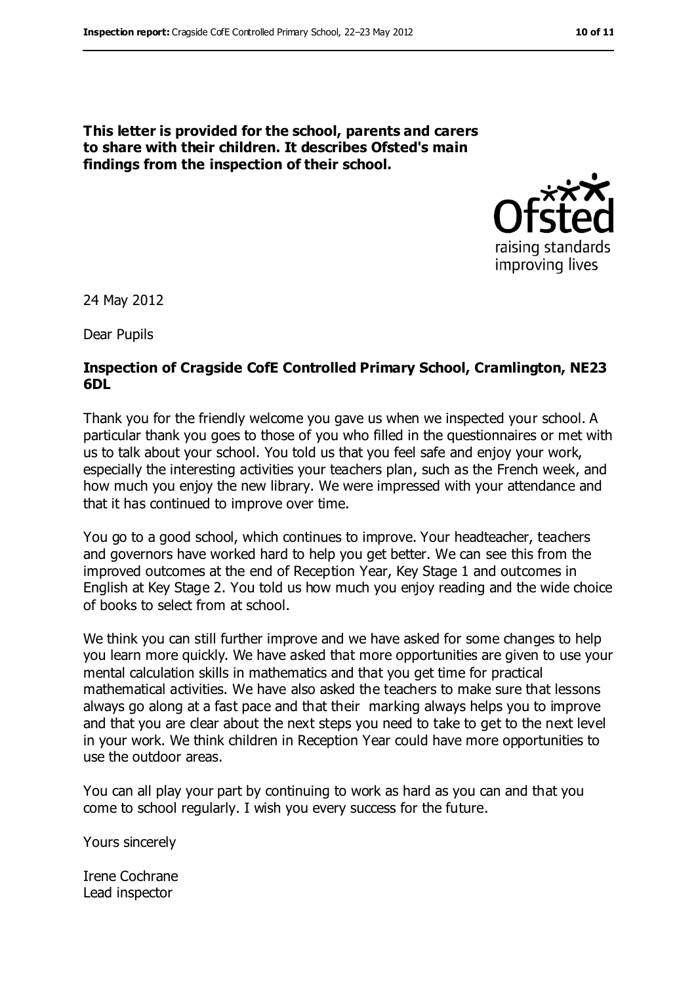**This letter is provided for the school, parents and carers to share with their children. It describes Ofsted's main findings from the inspection of their school.**



24 May 2012

Dear Pupils

#### **Inspection of Cragside CofE Controlled Primary School, Cramlington, NE23 6DL**

Thank you for the friendly welcome you gave us when we inspected your school. A particular thank you goes to those of you who filled in the questionnaires or met with us to talk about your school. You told us that you feel safe and enjoy your work, especially the interesting activities your teachers plan, such as the French week, and how much you enjoy the new library. We were impressed with your attendance and that it has continued to improve over time.

You go to a good school, which continues to improve. Your headteacher, teachers and governors have worked hard to help you get better. We can see this from the improved outcomes at the end of Reception Year, Key Stage 1 and outcomes in English at Key Stage 2. You told us how much you enjoy reading and the wide choice of books to select from at school.

We think you can still further improve and we have asked for some changes to help you learn more quickly. We have asked that more opportunities are given to use your mental calculation skills in mathematics and that you get time for practical mathematical activities. We have also asked the teachers to make sure that lessons always go along at a fast pace and that their marking always helps you to improve and that you are clear about the next steps you need to take to get to the next level in your work. We think children in Reception Year could have more opportunities to use the outdoor areas.

You can all play your part by continuing to work as hard as you can and that you come to school regularly. I wish you every success for the future.

Yours sincerely

Irene Cochrane Lead inspector